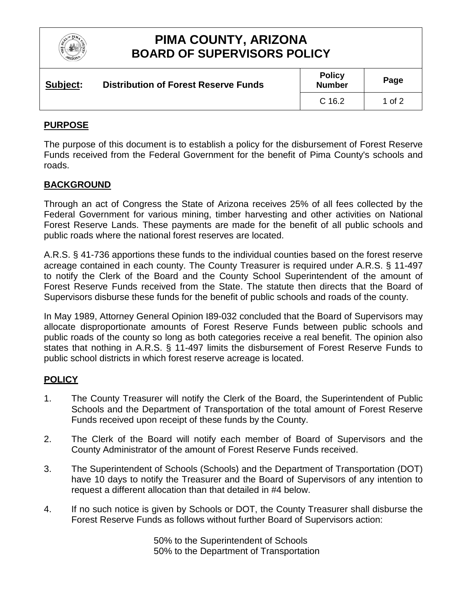

## **PIMA COUNTY, ARIZONA BOARD OF SUPERVISORS POLICY**

| Subject: | <b>Distribution of Forest Reserve Funds</b> | <b>Policy</b><br><b>Number</b> | Page   |
|----------|---------------------------------------------|--------------------------------|--------|
|          |                                             | C <sub>16.2</sub>              | 1 of 2 |

### **PURPOSE**

The purpose of this document is to establish a policy for the disbursement of Forest Reserve Funds received from the Federal Government for the benefit of Pima County's schools and roads.

#### **BACKGROUND**

Through an act of Congress the State of Arizona receives 25% of all fees collected by the Federal Government for various mining, timber harvesting and other activities on National Forest Reserve Lands. These payments are made for the benefit of all public schools and public roads where the national forest reserves are located.

A.R.S. § 41-736 apportions these funds to the individual counties based on the forest reserve acreage contained in each county. The County Treasurer is required under A.R.S. § 11-497 to notify the Clerk of the Board and the County School Superintendent of the amount of Forest Reserve Funds received from the State. The statute then directs that the Board of Supervisors disburse these funds for the benefit of public schools and roads of the county.

In May 1989, Attorney General Opinion I89-032 concluded that the Board of Supervisors may allocate disproportionate amounts of Forest Reserve Funds between public schools and public roads of the county so long as both categories receive a real benefit. The opinion also states that nothing in A.R.S. § 11-497 limits the disbursement of Forest Reserve Funds to public school districts in which forest reserve acreage is located.

#### **POLICY**

- 1. The County Treasurer will notify the Clerk of the Board, the Superintendent of Public Schools and the Department of Transportation of the total amount of Forest Reserve Funds received upon receipt of these funds by the County.
- 2. The Clerk of the Board will notify each member of Board of Supervisors and the County Administrator of the amount of Forest Reserve Funds received.
- 3. The Superintendent of Schools (Schools) and the Department of Transportation (DOT) have 10 days to notify the Treasurer and the Board of Supervisors of any intention to request a different allocation than that detailed in #4 below.
- 4. If no such notice is given by Schools or DOT, the County Treasurer shall disburse the Forest Reserve Funds as follows without further Board of Supervisors action:

50% to the Superintendent of Schools 50% to the Department of Transportation